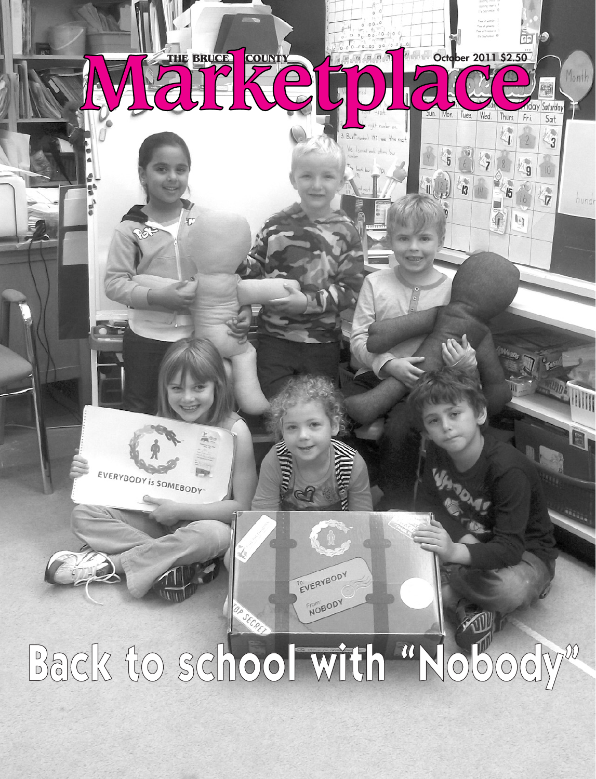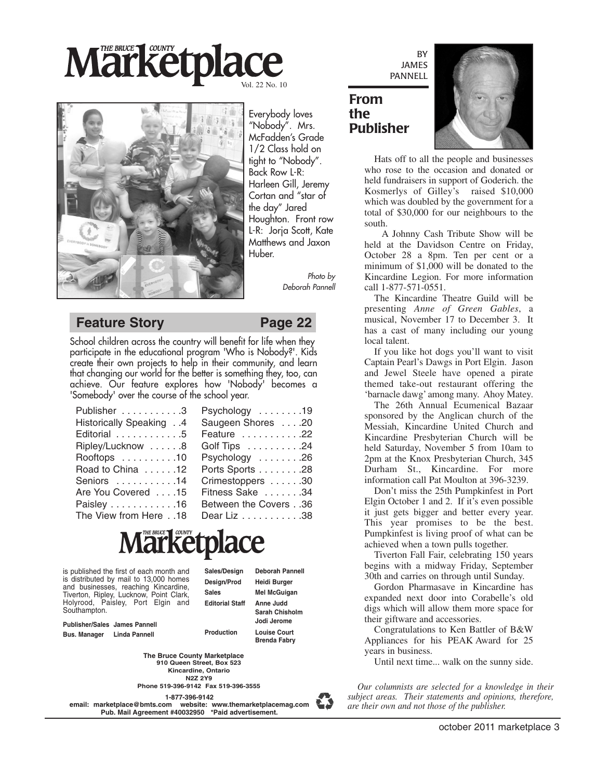# **Marketplace** Vol. 22 No. 10



Everybody loves "Nobody". Mrs. McFadden's Grade 1/2 Class hold on tight to "Nobody". Back Row L-R: Harleen Gill, Jeremy Cortan and "star of the day" Jared Houghton. Front row L-R: Jorja Scott, Kate Matthews and Jaxon Huber.

> *Photo by Deborah Pannell*

### **Feature Story Page 22**

School children across the country will benefit for life when they participate in the educational program 'Who is Nobody?'. Kids create their own projects to help in their community, and learn that changing our world for the better is something they, too, can achieve. Our feature explores how 'Nobody' becomes a 'Somebody' over the course of the school year.

| Publisher 3             | Psychology 19        |
|-------------------------|----------------------|
| Historically Speaking 4 | Saugeen Shores 20    |
| Editorial 5             | Feature 22           |
| Ripley/Lucknow 8        | Golf Tips 24         |
| Rooftops 10             | Psychology 26        |
| Road to China 12        | Ports Sports 28      |
| Seniors 14              | Crimestoppers 30     |
| Are You Covered 15      | Fitness Sake 34      |
| Paisley 16              | Between the Covers36 |
| The View from Here18    | Dear Liz 38          |

# **Märketplace**

is published the first of each month and is distributed by mail to 13,000 homes and businesses, reaching Kincardine, Tiverton, Ripley, Lucknow, Point Clark, Holyrood, Paisley, Port Elgin and Southampton.

**Sales/Design Deborah Pannell Design/Prod Heidi Burger Sales Mel McGuigan Editorial Staff Anne Judd Sarah Chisholm**

**Jodi Jerome**

**Brenda Fabry**

**Publisher/Sales James Pannell Bus. Manager Linda Pannell**

**Production Louise Court**

**910 Queen Street, Box 523 Kincardine, Ontario N2Z 2Y9 The Bruce County Marketplace**

**Phone 519-396-9142 Fax 519-396-3555**

**1-877-396-9142**

**email: marketplace@bmts.com website: www.themarketplacemag.com Pub. Mail Agreement #40032950 \*Paid advertisement.**

BY JAMES PANNELL

## **From the Publisher**



Hats off to all the people and businesses who rose to the occasion and donated or held fundraisers in support of Goderich. the Kosmerlys of Gilley's raised \$10,000 which was doubled by the government for a total of \$30,000 for our neighbours to the south.

A Johnny Cash Tribute Show will be held at the Davidson Centre on Friday, October 28 a 8pm. Ten per cent or a minimum of \$1,000 will be donated to the Kincardine Legion. For more information call 1-877-571-0551.

The Kincardine Theatre Guild will be presenting *Anne of Green Gables*, a musical, November 17 to December 3. It has a cast of many including our young local talent.

If you like hot dogs you'll want to visit Captain Pearl's Dawgs in Port Elgin. Jason and Jewel Steele have opened a pirate themed take-out restaurant offering the 'barnacle dawg' among many. Ahoy Matey.

The 26th Annual Ecumenical Bazaar sponsored by the Anglican church of the Messiah, Kincardine United Church and Kincardine Presbyterian Church will be held Saturday, November 5 from 10am to 2pm at the Knox Presbyterian Church, 345 Durham St., Kincardine. For more information call Pat Moulton at 396-3239.

Don't miss the 25th Pumpkinfest in Port Elgin October 1 and 2. If it's even possible it just gets bigger and better every year. This year promises to be the best. Pumpkinfest is living proof of what can be achieved when a town pulls together.

Tiverton Fall Fair, celebrating 150 years begins with a midway Friday, September 30th and carries on through until Sunday.

Gordon Pharmasave in Kincardine has expanded next door into Corabelle's old digs which will allow them more space for their giftware and accessories.

Congratulations to Ken Battler of B&W Appliances for his PEAK Award for 25 years in business.

Until next time... walk on the sunny side.

*Our columnists are selected for a knowledge in their subject areas. Their statements and opinions, therefore, are their own and not those of the publisher.*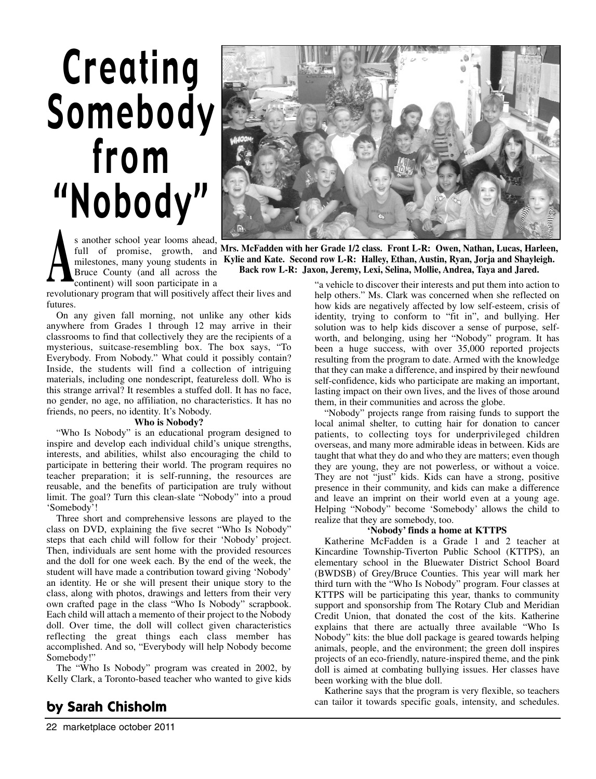# Creating [Somebody](http://www.whoisnobody.com/) from "Nobody"



s another school year looms ahead, full of promise, growth, and Mrs. McFadden with her Grade 1/2 class. Front L-R: Owen, Nathan, Lucas, Harleen, milestones, many young students in Bruce County (and all across the continent) will soon participate in a

**A A Mrs.** McFadden with her Grade 1/2 class. Front L-R: Owen, Nathan, Lucas, Harleen, milestones, many young students in **Kylie and Kate.** Second row L-R: Halley, Ethan, Austin, Ryan, Jorja and Shayleigh.<br>Bruce County **Kylie and Kate. Second row L-R: Halley, Ethan, Austin, Ryan, Jorja and Shayleigh. Back row L-R: Jaxon, Jeremy, Lexi, Selina, Mollie, Andrea, Taya and Jared.**

revolutionary program that will positively affect their lives and futures.

On any given fall morning, not unlike any other kids anywhere from Grades 1 through 12 may arrive in their classrooms to find that collectively they are the recipients of a mysterious, suitcase-resembling box. The box says, "To Everybody. From Nobody." What could it possibly contain? Inside, the students will find a collection of intriguing materials, including one nondescript, featureless doll. Who is this strange arrival? It resembles a stuffed doll. It has no face, no gender, no age, no affiliation, no characteristics. It has no friends, no peers, no identity. It's Nobody.

#### **Who is Nobody?**

"Who Is Nobody" is an educational program designed to inspire and develop each individual child's unique strengths, interests, and abilities, whilst also encouraging the child to participate in bettering their world. The program requires no teacher preparation; it is self-running, the resources are reusable, and the benefits of participation are truly without limit. The goal? Turn this clean-slate "Nobody" into a proud 'Somebody'!

Three short and comprehensive lessons are played to the class on DVD, explaining the five secret "Who Is Nobody" steps that each child will follow for their 'Nobody' project. Then, individuals are sent home with the provided resources and the doll for one week each. By the end of the week, the student will have made a contribution toward giving 'Nobody' an identity. He or she will present their unique story to the class, along with photos, drawings and letters from their very own crafted page in the class "Who Is Nobody" scrapbook. Each child will attach a memento of their project to the Nobody doll. Over time, the doll will collect given characteristics reflecting the great things each class member has accomplished. And so, "Everybody will help Nobody become Somebody!"

The "Who Is Nobody" program was created in 2002, by Kelly Clark, a Toronto-based teacher who wanted to give kids

## **by Sarah Chisholm**

"a vehicle to discover their interests and put them into action to help others." Ms. Clark was concerned when she reflected on how kids are negatively affected by low self-esteem, crisis of identity, trying to conform to "fit in", and bullying. Her solution was to help kids discover a sense of purpose, selfworth, and belonging, using her "Nobody" program. It has been a huge success, with over 35,000 reported projects resulting from the program to date. Armed with the knowledge that they can make a difference, and inspired by their newfound self-confidence, kids who participate are making an important, lasting impact on their own lives, and the lives of those around them, in their communities and across the globe.

"Nobody" projects range from raising funds to support the local animal shelter, to cutting hair for donation to cancer patients, to collecting toys for underprivileged children overseas, and many more admirable ideas in between. Kids are taught that what they do and who they are matters; even though they are young, they are not powerless, or without a voice. They are not "just" kids. Kids can have a strong, positive presence in their community, and kids can make a difference and leave an imprint on their world even at a young age. Helping "Nobody" become 'Somebody' allows the child to realize that they are somebody, too.

#### **'Nobody' finds a home at KTTPS**

Katherine McFadden is a Grade 1 and 2 teacher at Kincardine Township-Tiverton Public School (KTTPS), an elementary school in the Bluewater District School Board (BWDSB) of Grey/Bruce Counties. This year will mark her third turn with the "Who Is Nobody" program. Four classes at KTTPS will be participating this year, thanks to community support and sponsorship from The Rotary Club and Meridian Credit Union, that donated the cost of the kits. Katherine explains that there are actually three available "Who Is Nobody" kits: the blue doll package is geared towards helping animals, people, and the environment; the green doll inspires projects of an eco-friendly, nature-inspired theme, and the pink doll is aimed at combating bullying issues. Her classes have been working with the blue doll.

Katherine says that the program is very flexible, so teachers can tailor it towards specific goals, intensity, and schedules.